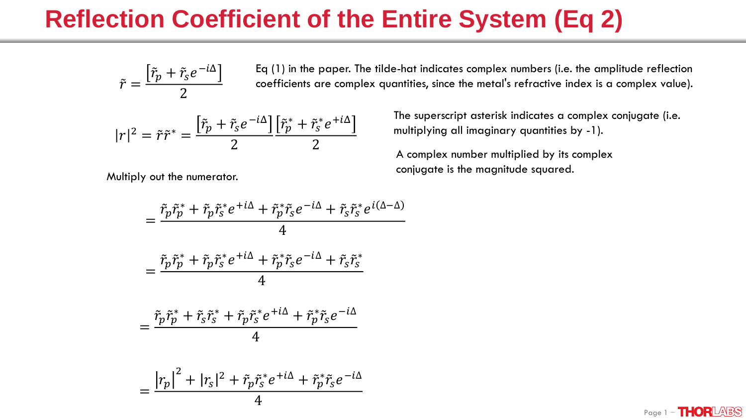$\tilde{r} =$  $\tilde{r}_p+\tilde{r}_s e^{-i\Delta}$ 2 Eq (1) in the paper. The tilde-hat indicates complex numbers (i.e. the amplitude reflection coefficients are complex quantities, since the metal's refractive index is a complex value).

$$
|r|^2 = \tilde{r}\tilde{r}^* = \frac{\left[\tilde{r}_p + \tilde{r}_s e^{-i\Delta}\right] \left[\tilde{r}_p^* + \tilde{r}_s^* e^{+i\Delta}\right]}{2}
$$

Multiply out the numerator.

The superscript asterisk indicates a complex conjugate (i.e. multiplying all imaginary quantities by -1).

A complex number multiplied by its complex conjugate is the magnitude squared.

$$
= \frac{\tilde{r}_p \tilde{r}_p^* + \tilde{r}_p \tilde{r}_s^* e^{+i\Delta} + \tilde{r}_p^* \tilde{r}_s e^{-i\Delta} + \tilde{r}_s \tilde{r}_s^* e^{i(\Delta - \Delta)}}{4}
$$
  

$$
= \frac{\tilde{r}_p \tilde{r}_p^* + \tilde{r}_p \tilde{r}_s^* e^{+i\Delta} + \tilde{r}_p^* \tilde{r}_s e^{-i\Delta} + \tilde{r}_s \tilde{r}_s^*}{4}
$$
  

$$
= \frac{\tilde{r}_p \tilde{r}_p^* + \tilde{r}_s \tilde{r}_s^* + \tilde{r}_p \tilde{r}_s^* e^{+i\Delta} + \tilde{r}_p^* \tilde{r}_s e^{-i\Delta}}{4}
$$
  

$$
= \frac{\left|r_p\right|^2 + \left|r_s\right|^2 + \tilde{r}_p \tilde{r}_s^* e^{+i\Delta} + \tilde{r}_p^* \tilde{r}_s e^{-i\Delta}}{4}
$$

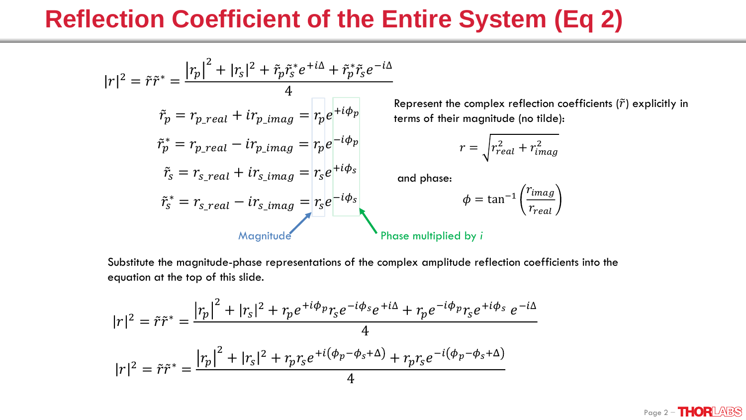$$
|r|^2 = \tilde{r}\tilde{r}^* = \frac{|r_p|^2 + |r_s|^2 + \tilde{r}_p \tilde{r}_s^* e^{+i\Delta} + \tilde{r}_p^* \tilde{r}_s e^{-i\Delta}}{4}
$$
  
\n
$$
\tilde{r}_p = r_{p\_real} + ir_{p\_imag} = r_p e^{+i\phi_p}
$$
  
\n
$$
\tilde{r}_s^* = r_{p\_real} - ir_{p\_imag} = r_p e^{-i\phi_p}
$$
  
\n
$$
\tilde{r}_s = r_{s\_real} + ir_{s\_imag} = r_s e^{+i\phi_s}
$$
  
\n
$$
\tilde{r}_s^* = r_{s\_real} - ir_{s\_imag} = r_s e^{-i\phi_s}
$$
  
\n
$$
\tilde{r}_s^* = r_{s\_real} - ir_{s\_imag} = r_s e^{-i\phi_s}
$$
  
\n
$$
\varphi = \tan^{-1} \frac{1}{2} \pi \tilde{r}_s
$$
  
\n
$$
\tilde{r}_s = \frac{1}{2} \pi \tilde{r}_s
$$
  
\n
$$
\tilde{r}_s = \frac{1}{2} \pi \tilde{r}_s
$$
  
\n
$$
\tilde{r}_s = \frac{1}{2} \pi \tilde{r}_s
$$
  
\n
$$
\tilde{r}_s = \frac{1}{2} \pi \tilde{r}_s
$$
  
\n
$$
\tilde{r}_s = \frac{1}{2} \pi \tilde{r}_s
$$
  
\n
$$
\tilde{r}_s = \frac{1}{2} \pi \tilde{r}_s
$$
  
\n
$$
\tilde{r}_s = \frac{1}{2} \pi \tilde{r}_s
$$
  
\n
$$
\tilde{r}_s = \frac{1}{2} \pi \tilde{r}_s
$$
  
\n
$$
\tilde{r}_s = \frac{1}{2} \pi \tilde{r}_s
$$
  
\n
$$
\tilde{r}_s = \frac{1}{2} \pi \tilde{r}_s
$$
  
\n
$$
\tilde{r}_s = \frac{1}{2} \pi \tilde{r}_s
$$
  
\n
$$
\tilde{r}_s = \frac{1}{2} \pi \tilde{r}_s
$$
  
\n $$ 

Substitute the magnitude-phase representations of the complex amplitude reflection coefficients into the equation at the top of this slide.

$$
|r|^2 = \tilde{r}\tilde{r}^* = \frac{|r_p|^2 + |r_s|^2 + r_p e^{+i\phi_p} r_s e^{-i\phi_s} e^{+i\Delta} + r_p e^{-i\phi_p} r_s e^{+i\phi_s} e^{-i\Delta}}{4}
$$

$$
|r|^2 = \tilde{r}\tilde{r}^* = \frac{|r_p|^2 + |r_s|^2 + r_p r_s e^{+i(\phi_p - \phi_s + \Delta)} + r_p r_s e^{-i(\phi_p - \phi_s + \Delta)}}
$$



$$
r = \sqrt{r_{real}^2 + r_{imag}^2}
$$

$$
\phi = \tan^{-1}\left(\frac{r_{imag}}{r_{real}}\right)
$$

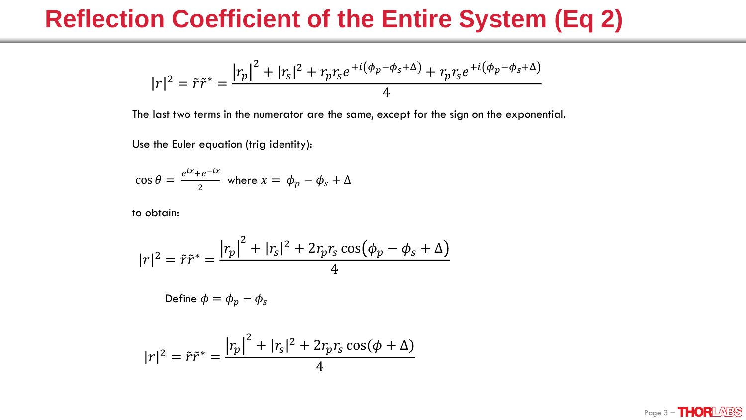$$
|r|^2 = \tilde{r}\tilde{r}^* = \frac{|r_p|^2 + |r_s|^2 + r_p r_s e^{+i(\phi_p - \phi_s + \Delta)} + r_p r_s e^{+i(\phi_p - \phi_s + \Delta)}}{4}
$$

The last two terms in the numerator are the same, except for the sign on the exponential.

Use the Euler equation (trig identity):

$$
\cos \theta = \frac{e^{ix} + e^{-ix}}{2} \text{ where } x = \phi_p - \phi_s + \Delta
$$

to obtain:

$$
|r|^2 = \tilde{r}\tilde{r}^* = \frac{|r_p|^2 + |r_s|^2 + 2r_p r_s \cos(\phi_p - \phi_s + \Delta)}{4}
$$

Define 
$$
\phi = \phi_p - \phi_s
$$

$$
|r|^2 = \tilde{r}\tilde{r}^* = \frac{|r_p|^2 + |r_s|^2 + 2r_p r_s \cos(\phi + \Delta)}{4}
$$